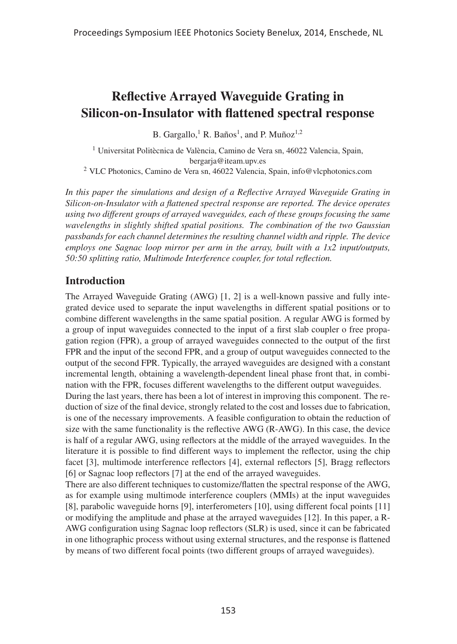# Reflective Arrayed Waveguide Grating in Silicon-on-Insulator with flattened spectral response

B. Gargallo,<sup>1</sup> R. Baños<sup>1</sup>, and P. Muñoz<sup>1,2</sup>

 $1$  Universitat Politècnica de València, Camino de Vera sn, 46022 Valencia, Spain, bergarja@iteam.upv.es <sup>2</sup> VLC Photonics, Camino de Vera sn, 46022 Valencia, Spain, info@vlcphotonics.com

*In this paper the simulations and design of a Reflective Arrayed Waveguide Grating in Silicon-on-Insulator with a flattened spectral response are reported. The device operates using two different groups of arrayed waveguides, each of these groups focusing the same wavelengths in slightly shifted spatial positions. The combination of the two Gaussian passbands for each channel determines the resulting channel width and ripple. The device employs one Sagnac loop mirror per arm in the array, built with a 1x2 input/outputs, 50:50 splitting ratio, Multimode Interference coupler, for total reflection.*

## Introduction

The Arrayed Waveguide Grating (AWG) [1, 2] is a well-known passive and fully integrated device used to separate the input wavelengths in different spatial positions or to combine different wavelengths in the same spatial position. A regular AWG is formed by a group of input waveguides connected to the input of a first slab coupler o free propagation region (FPR), a group of arrayed waveguides connected to the output of the first FPR and the input of the second FPR, and a group of output waveguides connected to the output of the second FPR. Typically, the arrayed waveguides are designed with a constant incremental length, obtaining a wavelength-dependent lineal phase front that, in combination with the FPR, focuses different wavelengths to the different output waveguides.

During the last years, there has been a lot of interest in improving this component. The reduction of size of the final device, strongly related to the cost and losses due to fabrication, is one of the necessary improvements. A feasible configuration to obtain the reduction of size with the same functionality is the reflective AWG (R-AWG). In this case, the device is half of a regular AWG, using reflectors at the middle of the arrayed waveguides. In the literature it is possible to find different ways to implement the reflector, using the chip facet [3], multimode interference reflectors [4], external reflectors [5], Bragg reflectors [6] or Sagnac loop reflectors [7] at the end of the arrayed waveguides.

There are also different techniques to customize/flatten the spectral response of the AWG, as for example using multimode interference couplers (MMIs) at the input waveguides [8], parabolic waveguide horns [9], interferometers [10], using different focal points [11] or modifying the amplitude and phase at the arrayed waveguides [12]. In this paper, a R-AWG configuration using Sagnac loop reflectors (SLR) is used, since it can be fabricated in one lithographic process without using external structures, and the response is flattened by means of two different focal points (two different groups of arrayed waveguides).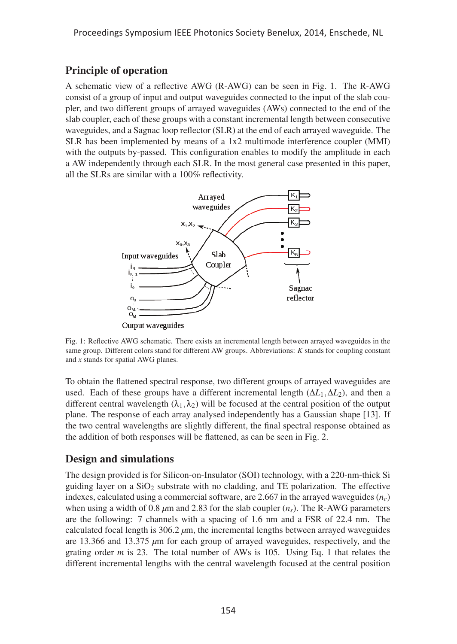## Principle of operation

A schematic view of a reflective AWG (R-AWG) can be seen in Fig. 1. The R-AWG consist of a group of input and output waveguides connected to the input of the slab coupler, and two different groups of arrayed waveguides (AWs) connected to the end of the slab coupler, each of these groups with a constant incremental length between consecutive waveguides, and a Sagnac loop reflector (SLR) at the end of each arrayed waveguide. The SLR has been implemented by means of a 1x2 multimode interference coupler (MMI) with the outputs by-passed. This configuration enables to modify the amplitude in each a AW independently through each SLR. In the most general case presented in this paper, all the SLRs are similar with a 100% reflectivity.



Fig. 1: Reflective AWG schematic. There exists an incremental length between arrayed waveguides in the same group. Different colors stand for different AW groups. Abbreviations: *K* stands for coupling constant and *x* stands for spatial AWG planes.

To obtain the flattened spectral response, two different groups of arrayed waveguides are used. Each of these groups have a different incremental length  $(\Delta L_1, \Delta L_2)$ , and then a different central wavelength  $(\lambda_1, \lambda_2)$  will be focused at the central position of the output plane. The response of each array analysed independently has a Gaussian shape [13]. If the two central wavelengths are slightly different, the final spectral response obtained as the addition of both responses will be flattened, as can be seen in Fig. 2.

#### Design and simulations

The design provided is for Silicon-on-Insulator (SOI) technology, with a 220-nm-thick Si guiding layer on a  $SiO<sub>2</sub>$  substrate with no cladding, and TE polarization. The effective indexes, calculated using a commercial software, are  $2.667$  in the arrayed waveguides  $(n_c)$ when using a width of 0.8  $\mu$ m and 2.83 for the slab coupler  $(n_s)$ . The R-AWG parameters are the following: 7 channels with a spacing of 1.6 nm and a FSR of 22.4 nm. The calculated focal length is 306.2 *μ*m, the incremental lengths between arrayed waveguides are 13.366 and 13.375 *μ*m for each group of arrayed waveguides, respectively, and the grating order *m* is 23. The total number of AWs is 105. Using Eq. 1 that relates the different incremental lengths with the central wavelength focused at the central position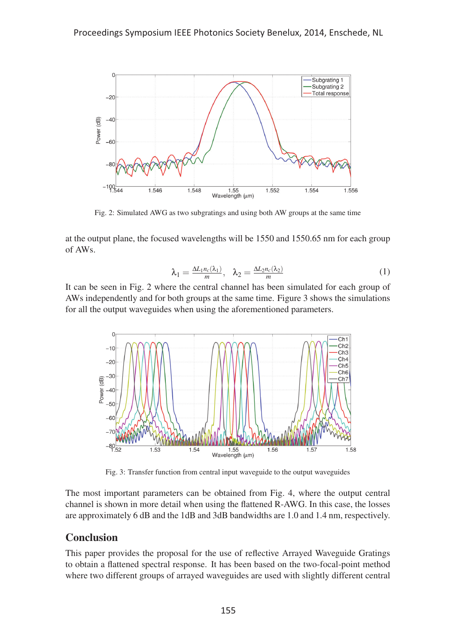

Fig. 2: Simulated AWG as two subgratings and using both AW groups at the same time

at the output plane, the focused wavelengths will be 1550 and 1550.65 nm for each group of AWs.

$$
\lambda_1 = \frac{\Delta L_1 n_c(\lambda_1)}{m}, \quad \lambda_2 = \frac{\Delta L_2 n_c(\lambda_2)}{m} \tag{1}
$$

It can be seen in Fig. 2 where the central channel has been simulated for each group of AWs independently and for both groups at the same time. Figure 3 shows the simulations for all the output waveguides when using the aforementioned parameters.



Fig. 3: Transfer function from central input waveguide to the output waveguides

The most important parameters can be obtained from Fig. 4, where the output central channel is shown in more detail when using the flattened R-AWG. In this case, the losses are approximately 6 dB and the 1dB and 3dB bandwidths are 1.0 and 1.4 nm, respectively.

#### Conclusion

This paper provides the proposal for the use of reflective Arrayed Waveguide Gratings to obtain a flattened spectral response. It has been based on the two-focal-point method where two different groups of arrayed waveguides are used with slightly different central